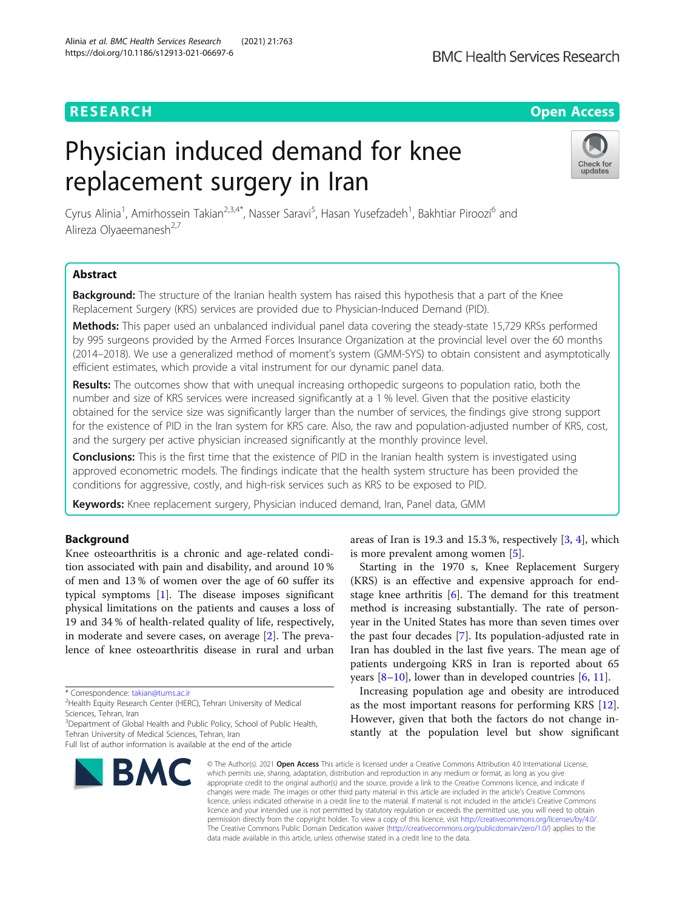# **RESEARCH CHE Open Access**

# Physician induced demand for knee replacement surgery in Iran



Cyrus Alinia<sup>1</sup>, Amirhossein Takian<sup>2,3,4\*</sup>, Nasser Saravi<sup>5</sup>, Hasan Yusefzadeh<sup>1</sup>, Bakhtiar Piroozi<sup>6</sup> and Alireza Olyaeemanesh<sup>2,7</sup>

# Abstract

Background: The structure of the Iranian health system has raised this hypothesis that a part of the Knee Replacement Surgery (KRS) services are provided due to Physician-Induced Demand (PID).

Methods: This paper used an unbalanced individual panel data covering the steady-state 15,729 KRSs performed by 995 surgeons provided by the Armed Forces Insurance Organization at the provincial level over the 60 months (2014–2018). We use a generalized method of moment's system (GMM-SYS) to obtain consistent and asymptotically efficient estimates, which provide a vital instrument for our dynamic panel data.

Results: The outcomes show that with unequal increasing orthopedic surgeons to population ratio, both the number and size of KRS services were increased significantly at a 1 % level. Given that the positive elasticity obtained for the service size was significantly larger than the number of services, the findings give strong support for the existence of PID in the Iran system for KRS care. Also, the raw and population-adjusted number of KRS, cost, and the surgery per active physician increased significantly at the monthly province level.

**Conclusions:** This is the first time that the existence of PID in the Iranian health system is investigated using approved econometric models. The findings indicate that the health system structure has been provided the conditions for aggressive, costly, and high-risk services such as KRS to be exposed to PID.

Keywords: Knee replacement surgery, Physician induced demand, Iran, Panel data, GMM

# Background

Knee osteoarthritis is a chronic and age-related condition associated with pain and disability, and around 10 % of men and 13 % of women over the age of 60 suffer its typical symptoms [\[1](#page-6-0)]. The disease imposes significant physical limitations on the patients and causes a loss of 19 and 34 % of health-related quality of life, respectively, in moderate and severe cases, on average [\[2](#page-6-0)]. The prevalence of knee osteoarthritis disease in rural and urban

<sup>3</sup>Department of Global Health and Public Policy, School of Public Health, Tehran University of Medical Sciences, Tehran, Iran

Full list of author information is available at the end of the article



areas of Iran is 19.3 and 15.3 %, respectively [[3,](#page-6-0) [4\]](#page-6-0), which is more prevalent among women [[5\]](#page-6-0).

Starting in the 1970 s, Knee Replacement Surgery (KRS) is an effective and expensive approach for endstage knee arthritis  $[6]$  $[6]$ . The demand for this treatment method is increasing substantially. The rate of personyear in the United States has more than seven times over the past four decades [[7](#page-6-0)]. Its population-adjusted rate in Iran has doubled in the last five years. The mean age of patients undergoing KRS in Iran is reported about 65 years  $[8-10]$  $[8-10]$  $[8-10]$  $[8-10]$ , lower than in developed countries  $[6, 11]$  $[6, 11]$  $[6, 11]$  $[6, 11]$ .

Increasing population age and obesity are introduced as the most important reasons for performing KRS [\[12](#page-6-0)]. However, given that both the factors do not change instantly at the population level but show significant

© The Author(s), 2021 **Open Access** This article is licensed under a Creative Commons Attribution 4.0 International License, which permits use, sharing, adaptation, distribution and reproduction in any medium or format, as long as you give appropriate credit to the original author(s) and the source, provide a link to the Creative Commons licence, and indicate if changes were made. The images or other third party material in this article are included in the article's Creative Commons licence, unless indicated otherwise in a credit line to the material. If material is not included in the article's Creative Commons licence and your intended use is not permitted by statutory regulation or exceeds the permitted use, you will need to obtain permission directly from the copyright holder. To view a copy of this licence, visit [http://creativecommons.org/licenses/by/4.0/.](http://creativecommons.org/licenses/by/4.0/) The Creative Commons Public Domain Dedication waiver [\(http://creativecommons.org/publicdomain/zero/1.0/](http://creativecommons.org/publicdomain/zero/1.0/)) applies to the data made available in this article, unless otherwise stated in a credit line to the data.

<sup>\*</sup> Correspondence: [takian@tums.ac.ir](mailto:takian@tums.ac.ir) <sup>2</sup>

<sup>&</sup>lt;sup>2</sup>Health Equity Research Center (HERC), Tehran University of Medical Sciences, Tehran, Iran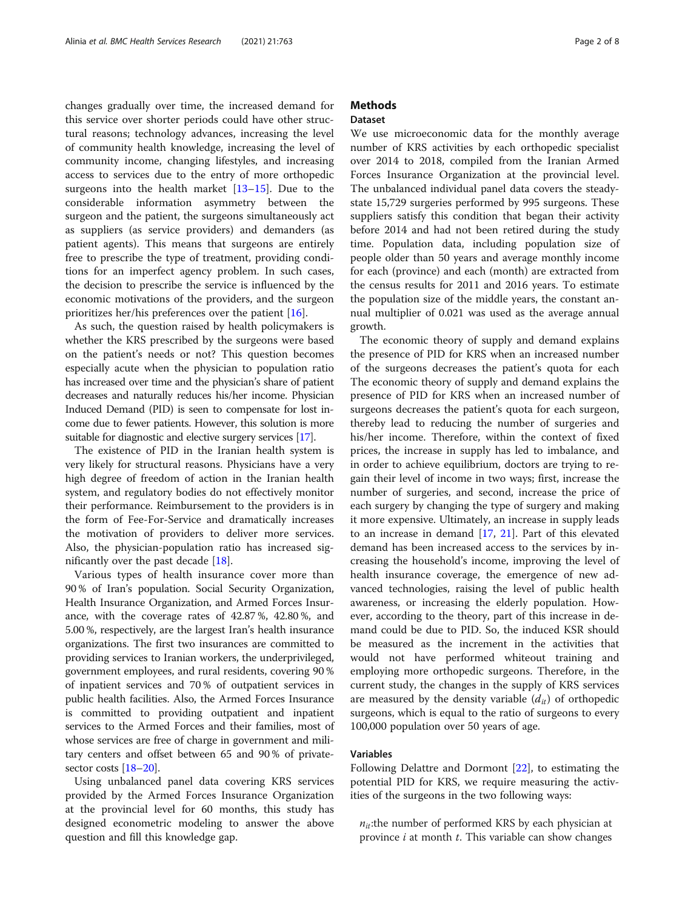changes gradually over time, the increased demand for this service over shorter periods could have other structural reasons; technology advances, increasing the level of community health knowledge, increasing the level of community income, changing lifestyles, and increasing access to services due to the entry of more orthopedic surgeons into the health market  $[13-15]$  $[13-15]$  $[13-15]$  $[13-15]$  $[13-15]$ . Due to the considerable information asymmetry between the surgeon and the patient, the surgeons simultaneously act as suppliers (as service providers) and demanders (as patient agents). This means that surgeons are entirely free to prescribe the type of treatment, providing conditions for an imperfect agency problem. In such cases, the decision to prescribe the service is influenced by the economic motivations of the providers, and the surgeon prioritizes her/his preferences over the patient [[16](#page-6-0)].

As such, the question raised by health policymakers is whether the KRS prescribed by the surgeons were based on the patient's needs or not? This question becomes especially acute when the physician to population ratio has increased over time and the physician's share of patient decreases and naturally reduces his/her income. Physician Induced Demand (PID) is seen to compensate for lost income due to fewer patients. However, this solution is more suitable for diagnostic and elective surgery services [\[17\]](#page-6-0).

The existence of PID in the Iranian health system is very likely for structural reasons. Physicians have a very high degree of freedom of action in the Iranian health system, and regulatory bodies do not effectively monitor their performance. Reimbursement to the providers is in the form of Fee-For-Service and dramatically increases the motivation of providers to deliver more services. Also, the physician-population ratio has increased significantly over the past decade [\[18](#page-6-0)].

Various types of health insurance cover more than 90 % of Iran's population. Social Security Organization, Health Insurance Organization, and Armed Forces Insurance, with the coverage rates of 42.87 %, 42.80 %, and 5.00 %, respectively, are the largest Iran's health insurance organizations. The first two insurances are committed to providing services to Iranian workers, the underprivileged, government employees, and rural residents, covering 90 % of inpatient services and 70 % of outpatient services in public health facilities. Also, the Armed Forces Insurance is committed to providing outpatient and inpatient services to the Armed Forces and their families, most of whose services are free of charge in government and military centers and offset between 65 and 90 % of privatesector costs [[18](#page-6-0)–[20\]](#page-6-0).

Using unbalanced panel data covering KRS services provided by the Armed Forces Insurance Organization at the provincial level for 60 months, this study has designed econometric modeling to answer the above question and fill this knowledge gap.

# **Methods**

# Dataset

We use microeconomic data for the monthly average number of KRS activities by each orthopedic specialist over 2014 to 2018, compiled from the Iranian Armed Forces Insurance Organization at the provincial level. The unbalanced individual panel data covers the steadystate 15,729 surgeries performed by 995 surgeons. These suppliers satisfy this condition that began their activity before 2014 and had not been retired during the study time. Population data, including population size of people older than 50 years and average monthly income for each (province) and each (month) are extracted from the census results for 2011 and 2016 years. To estimate the population size of the middle years, the constant annual multiplier of 0.021 was used as the average annual growth.

The economic theory of supply and demand explains the presence of PID for KRS when an increased number of the surgeons decreases the patient's quota for each The economic theory of supply and demand explains the presence of PID for KRS when an increased number of surgeons decreases the patient's quota for each surgeon, thereby lead to reducing the number of surgeries and his/her income. Therefore, within the context of fixed prices, the increase in supply has led to imbalance, and in order to achieve equilibrium, doctors are trying to regain their level of income in two ways; first, increase the number of surgeries, and second, increase the price of each surgery by changing the type of surgery and making it more expensive. Ultimately, an increase in supply leads to an increase in demand [\[17](#page-6-0), [21](#page-6-0)]. Part of this elevated demand has been increased access to the services by increasing the household's income, improving the level of health insurance coverage, the emergence of new advanced technologies, raising the level of public health awareness, or increasing the elderly population. However, according to the theory, part of this increase in demand could be due to PID. So, the induced KSR should be measured as the increment in the activities that would not have performed whiteout training and employing more orthopedic surgeons. Therefore, in the current study, the changes in the supply of KRS services are measured by the density variable  $(d_{it})$  of orthopedic surgeons, which is equal to the ratio of surgeons to every 100,000 population over 50 years of age.

# Variables

Following Delattre and Dormont [[22](#page-6-0)], to estimating the potential PID for KRS, we require measuring the activities of the surgeons in the two following ways:

 $n_{it}$ :the number of performed KRS by each physician at province  $i$  at month  $t$ . This variable can show changes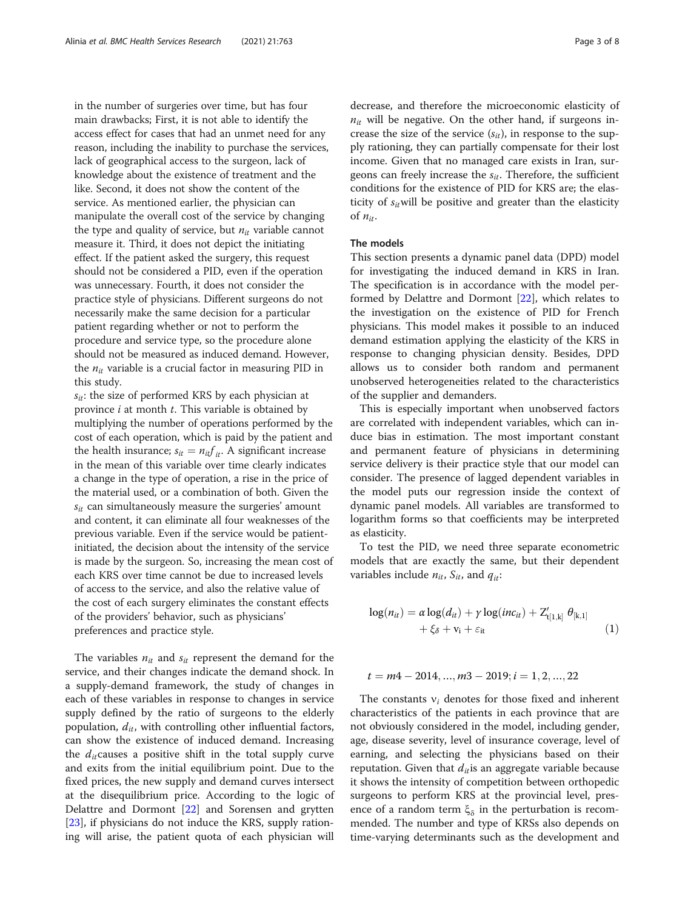in the number of surgeries over time, but has four main drawbacks; First, it is not able to identify the access effect for cases that had an unmet need for any reason, including the inability to purchase the services, lack of geographical access to the surgeon, lack of knowledge about the existence of treatment and the like. Second, it does not show the content of the service. As mentioned earlier, the physician can manipulate the overall cost of the service by changing the type and quality of service, but  $n_{it}$  variable cannot measure it. Third, it does not depict the initiating effect. If the patient asked the surgery, this request should not be considered a PID, even if the operation was unnecessary. Fourth, it does not consider the practice style of physicians. Different surgeons do not necessarily make the same decision for a particular patient regarding whether or not to perform the procedure and service type, so the procedure alone should not be measured as induced demand. However, the  $n_{it}$  variable is a crucial factor in measuring PID in this study.

 $s_{it}$ : the size of performed KRS by each physician at province  $i$  at month  $t$ . This variable is obtained by multiplying the number of operations performed by the cost of each operation, which is paid by the patient and the health insurance;  $s_{it} = n_{it} f_{it}$ . A significant increase in the mean of this variable over time clearly indicates a change in the type of operation, a rise in the price of the material used, or a combination of both. Given the  $s_{it}$  can simultaneously measure the surgeries' amount and content, it can eliminate all four weaknesses of the previous variable. Even if the service would be patientinitiated, the decision about the intensity of the service is made by the surgeon. So, increasing the mean cost of each KRS over time cannot be due to increased levels of access to the service, and also the relative value of the cost of each surgery eliminates the constant effects of the providers' behavior, such as physicians' preferences and practice style.

The variables  $n_{it}$  and  $s_{it}$  represent the demand for the service, and their changes indicate the demand shock. In a supply-demand framework, the study of changes in each of these variables in response to changes in service supply defined by the ratio of surgeons to the elderly population,  $d_{it}$ , with controlling other influential factors, can show the existence of induced demand. Increasing the  $d_{it}$  causes a positive shift in the total supply curve and exits from the initial equilibrium point. Due to the fixed prices, the new supply and demand curves intersect at the disequilibrium price. According to the logic of Delattre and Dormont [[22\]](#page-6-0) and Sorensen and grytten [[23\]](#page-6-0), if physicians do not induce the KRS, supply rationing will arise, the patient quota of each physician will decrease, and therefore the microeconomic elasticity of  $n_{it}$  will be negative. On the other hand, if surgeons increase the size of the service  $(s_{it})$ , in response to the supply rationing, they can partially compensate for their lost income. Given that no managed care exists in Iran, surgeons can freely increase the  $s_{it}$ . Therefore, the sufficient conditions for the existence of PID for KRS are; the elasticity of  $s_{it}$  will be positive and greater than the elasticity of  $n_{it}$ .

# The models

This section presents a dynamic panel data (DPD) model for investigating the induced demand in KRS in Iran. The specification is in accordance with the model performed by Delattre and Dormont [\[22](#page-6-0)], which relates to the investigation on the existence of PID for French physicians. This model makes it possible to an induced demand estimation applying the elasticity of the KRS in response to changing physician density. Besides, DPD allows us to consider both random and permanent unobserved heterogeneities related to the characteristics of the supplier and demanders.

This is especially important when unobserved factors are correlated with independent variables, which can induce bias in estimation. The most important constant and permanent feature of physicians in determining service delivery is their practice style that our model can consider. The presence of lagged dependent variables in the model puts our regression inside the context of dynamic panel models. All variables are transformed to logarithm forms so that coefficients may be interpreted as elasticity.

To test the PID, we need three separate econometric models that are exactly the same, but their dependent variables include  $n_{it}$ ,  $S_{it}$ , and  $q_{it}$ :

$$
\log(n_{it}) = \alpha \log(d_{it}) + \gamma \log(inc_{it}) + Z'_{t[1,k]} \theta_{[k,1]} + \xi_{\delta} + v_i + \varepsilon_{it}
$$
\n(1)

$$
t=m4-2014,...,m3-2019; i=1,2,...,22
$$

The constants  $v_i$  denotes for those fixed and inherent characteristics of the patients in each province that are not obviously considered in the model, including gender, age, disease severity, level of insurance coverage, level of earning, and selecting the physicians based on their reputation. Given that  $d_{it}$  is an aggregate variable because it shows the intensity of competition between orthopedic surgeons to perform KRS at the provincial level, presence of a random term  $\xi_{\delta}$  in the perturbation is recommended. The number and type of KRSs also depends on time-varying determinants such as the development and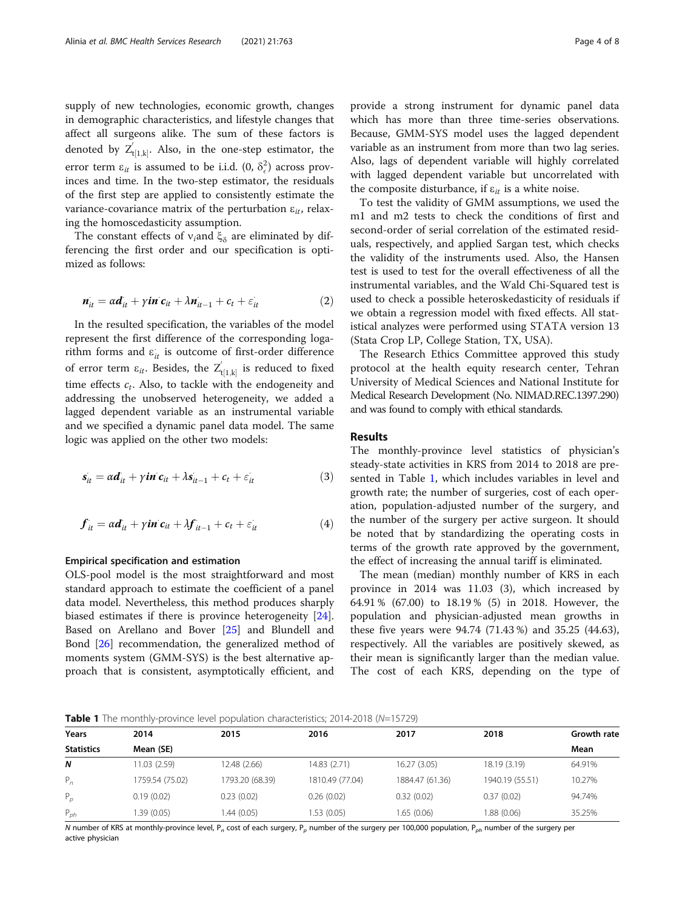<span id="page-3-0"></span>supply of new technologies, economic growth, changes in demographic characteristics, and lifestyle changes that affect all surgeons alike. The sum of these factors is denoted by  $Z'_{t[1,k]}$ . Also, in the one-step estimator, the error term  $\varepsilon_{it}$  is assumed to be i.i.d.  $(0, \delta_{\epsilon}^2)$  across provinces and time. In the two-step estimator, the residuals of the first step are applied to consistently estimate the variance-covariance matrix of the perturbation  $\varepsilon_{it}$ , relaxing the homoscedasticity assumption.

The constant effects of  $v_i$ and  $\xi_\delta$  are eliminated by differencing the first order and our specification is optimized as follows:

$$
\boldsymbol{n}_{it}^{\prime} = \alpha \boldsymbol{d}_{it}^{\prime} + \gamma \boldsymbol{in} \ \boldsymbol{c}_{it} + \lambda \boldsymbol{n}_{it-1}^{\prime} + \boldsymbol{c}_{t} + \varepsilon_{it}^{\prime} \tag{2}
$$

In the resulted specification, the variables of the model represent the first difference of the corresponding logarithm forms and  $\varepsilon_{it}$  is outcome of first-order difference of error term  $\varepsilon_{it}$ . Besides, the  $Z_{t[1,k]}^{'}$  is reduced to fixed time effects  $c_t$ . Also, to tackle with the endogeneity and addressing the unobserved heterogeneity, we added a lagged dependent variable as an instrumental variable and we specified a dynamic panel data model. The same logic was applied on the other two models:

$$
\dot{s_{it}} = \alpha \dot{d_{it}} + \gamma \dot{t} \dot{n} \dot{c_{it}} + \lambda \dot{s_{it-1}} + c_t + \dot{\varepsilon_{it}} \tag{3}
$$

$$
\boldsymbol{f}_{it} = \alpha \boldsymbol{d}_{it} + \gamma \boldsymbol{in} \ \boldsymbol{c}_{it} + \lambda \boldsymbol{f}_{it-1} + \boldsymbol{c}_{t} + \varepsilon_{it} \tag{4}
$$

#### Empirical specification and estimation

OLS-pool model is the most straightforward and most standard approach to estimate the coefficient of a panel data model. Nevertheless, this method produces sharply biased estimates if there is province heterogeneity [\[24](#page-6-0)]. Based on Arellano and Bover [\[25](#page-6-0)] and Blundell and Bond [[26\]](#page-6-0) recommendation, the generalized method of moments system (GMM-SYS) is the best alternative approach that is consistent, asymptotically efficient, and provide a strong instrument for dynamic panel data which has more than three time-series observations. Because, GMM-SYS model uses the lagged dependent variable as an instrument from more than two lag series. Also, lags of dependent variable will highly correlated with lagged dependent variable but uncorrelated with the composite disturbance, if  $\varepsilon_{it}$  is a white noise.

To test the validity of GMM assumptions, we used the m1 and m2 tests to check the conditions of first and second-order of serial correlation of the estimated residuals, respectively, and applied Sargan test, which checks the validity of the instruments used. Also, the Hansen test is used to test for the overall effectiveness of all the instrumental variables, and the Wald Chi-Squared test is used to check a possible heteroskedasticity of residuals if we obtain a regression model with fixed effects. All statistical analyzes were performed using STATA version 13 (Stata Crop LP, College Station, TX, USA).

The Research Ethics Committee approved this study protocol at the health equity research center, Tehran University of Medical Sciences and National Institute for Medical Research Development (No. NIMAD.REC.1397.290) and was found to comply with ethical standards.

#### Results

The monthly-province level statistics of physician's steady-state activities in KRS from 2014 to 2018 are presented in Table 1, which includes variables in level and growth rate; the number of surgeries, cost of each operation, population-adjusted number of the surgery, and the number of the surgery per active surgeon. It should be noted that by standardizing the operating costs in terms of the growth rate approved by the government, the effect of increasing the annual tariff is eliminated.

The mean (median) monthly number of KRS in each province in 2014 was 11.03 (3), which increased by 64.91 % (67.00) to 18.19 % (5) in 2018. However, the population and physician-adjusted mean growths in these five years were 94.74 (71.43 %) and 35.25 (44.63), respectively. All the variables are positively skewed, as their mean is significantly larger than the median value. The cost of each KRS, depending on the type of

Table 1 The monthly-province level population characteristics; 2014-2018 (N=15729)

| Years             | 2014            | 2015            | 2016            | 2017            | 2018            | <b>Growth rate</b> |  |
|-------------------|-----------------|-----------------|-----------------|-----------------|-----------------|--------------------|--|
| <b>Statistics</b> | Mean (SE)       |                 |                 |                 |                 |                    |  |
| N                 | 11.03 (2.59)    | 12.48 (2.66)    | 14.83 (2.71)    | 16.27 (3.05)    | 18.19 (3.19)    | 64.91%             |  |
| $P_n$             | 1759.54 (75.02) | 1793.20 (68.39) | 1810.49 (77.04) | 1884.47 (61.36) | 1940.19 (55.51) | 10.27%             |  |
| $P_p$             | 0.19(0.02)      | 0.23(0.02)      | 0.26(0.02)      | 0.32(0.02)      | 0.37(0.02)      | 94.74%             |  |
| $P_{ph}$          | 1.39 (0.05)     | 1.44(0.05)      | 1.53 (0.05)     | 1.65(0.06)      | 1.88 (0.06)     | 35.25%             |  |

N number of KRS at monthly-province level, P<sub>n</sub> cost of each surgery, P<sub>p</sub> number of the surgery per 100,000 population, P<sub>ph</sub> number of the surgery per active physician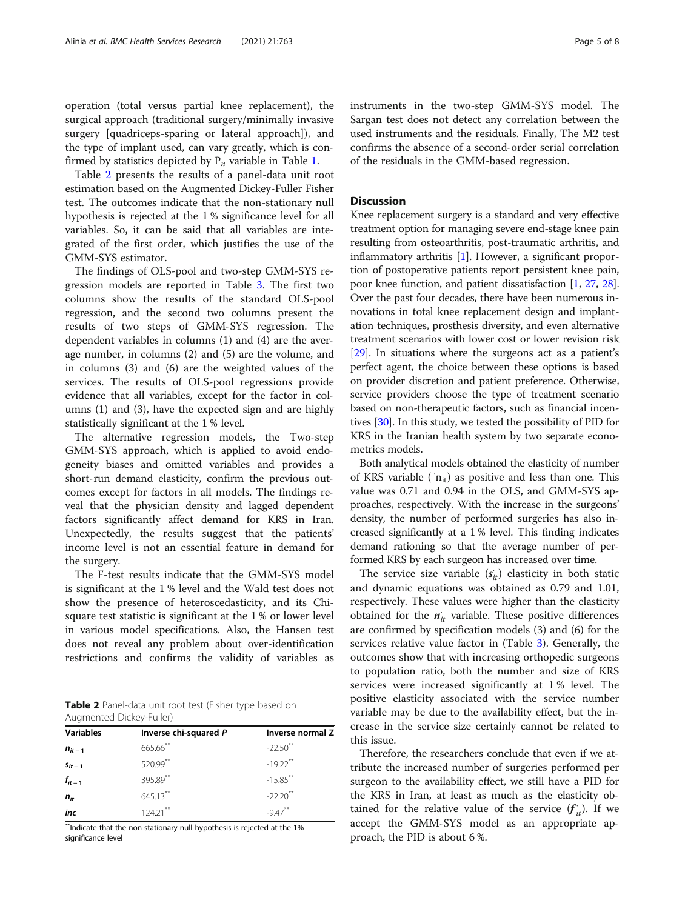operation (total versus partial knee replacement), the surgical approach (traditional surgery/minimally invasive surgery [quadriceps-sparing or lateral approach]), and the type of implant used, can vary greatly, which is confirmed by statistics depicted by  $P_n$  variable in Table [1.](#page-3-0)

Table 2 presents the results of a panel-data unit root estimation based on the Augmented Dickey-Fuller Fisher test. The outcomes indicate that the non-stationary null hypothesis is rejected at the 1 % significance level for all variables. So, it can be said that all variables are integrated of the first order, which justifies the use of the GMM-SYS estimator.

The findings of OLS-pool and two-step GMM-SYS regression models are reported in Table [3](#page-5-0). The first two columns show the results of the standard OLS-pool regression, and the second two columns present the results of two steps of GMM-SYS regression. The dependent variables in columns (1) and (4) are the average number, in columns (2) and (5) are the volume, and in columns (3) and (6) are the weighted values of the services. The results of OLS-pool regressions provide evidence that all variables, except for the factor in columns (1) and (3), have the expected sign and are highly statistically significant at the 1 % level.

The alternative regression models, the Two-step GMM-SYS approach, which is applied to avoid endogeneity biases and omitted variables and provides a short-run demand elasticity, confirm the previous outcomes except for factors in all models. The findings reveal that the physician density and lagged dependent factors significantly affect demand for KRS in Iran. Unexpectedly, the results suggest that the patients' income level is not an essential feature in demand for the surgery.

The F-test results indicate that the GMM-SYS model is significant at the 1 % level and the Wald test does not show the presence of heteroscedasticity, and its Chisquare test statistic is significant at the 1 % or lower level in various model specifications. Also, the Hansen test does not reveal any problem about over-identification restrictions and confirms the validity of variables as

Table 2 Panel-data unit root test (Fisher type based on Augmented Dickey-Fuller)

| <b>Variables</b> | Inverse chi-squared P | Inverse normal Z       |
|------------------|-----------------------|------------------------|
| $n_{it-1}$       | 665.66**              | $-22.50$ <sup>**</sup> |
| $S_{it-1}$       | 520.99**              | $-19.22$ <sup>**</sup> |
| $f_{it-1}$       | 395.89**              | $-15.85$ **            |
| $n_{it}$         | $645.13***$           | $-22.20$ <sup>**</sup> |
| inc              | $124.21***$           | $-947$ <sup>**</sup>   |

\*\*Indicate that the non-stationary null hypothesis is rejected at the 1% significance level

instruments in the two-step GMM-SYS model. The Sargan test does not detect any correlation between the used instruments and the residuals. Finally, The M2 test confirms the absence of a second-order serial correlation of the residuals in the GMM-based regression.

# **Discussion**

Knee replacement surgery is a standard and very effective treatment option for managing severe end-stage knee pain resulting from osteoarthritis, post-traumatic arthritis, and inflammatory arthritis [\[1](#page-6-0)]. However, a significant proportion of postoperative patients report persistent knee pain, poor knee function, and patient dissatisfaction [[1](#page-6-0), [27](#page-6-0), [28](#page-6-0)]. Over the past four decades, there have been numerous innovations in total knee replacement design and implantation techniques, prosthesis diversity, and even alternative treatment scenarios with lower cost or lower revision risk [[29](#page-6-0)]. In situations where the surgeons act as a patient's perfect agent, the choice between these options is based on provider discretion and patient preference. Otherwise, service providers choose the type of treatment scenario based on non-therapeutic factors, such as financial incentives [\[30](#page-6-0)]. In this study, we tested the possibility of PID for KRS in the Iranian health system by two separate econometrics models.

Both analytical models obtained the elasticity of number of KRS variable ( $n_{it}$ ) as positive and less than one. This value was 0.71 and 0.94 in the OLS, and GMM-SYS approaches, respectively. With the increase in the surgeons' density, the number of performed surgeries has also increased significantly at a 1 % level. This finding indicates demand rationing so that the average number of performed KRS by each surgeon has increased over time.

The service size variable  $(s_{it})$  elasticity in both static and dynamic equations was obtained as 0.79 and 1.01, respectively. These values were higher than the elasticity obtained for the  $n_{it}$  variable. These positive differences are confirmed by specification models (3) and (6) for the services relative value factor in (Table [3\)](#page-5-0). Generally, the outcomes show that with increasing orthopedic surgeons to population ratio, both the number and size of KRS services were increased significantly at 1 % level. The positive elasticity associated with the service number variable may be due to the availability effect, but the increase in the service size certainly cannot be related to this issue.

Therefore, the researchers conclude that even if we attribute the increased number of surgeries performed per surgeon to the availability effect, we still have a PID for the KRS in Iran, at least as much as the elasticity obtained for the relative value of the service  $(f_{it})$ . If we accept the GMM-SYS model as an appropriate approach, the PID is about 6 %.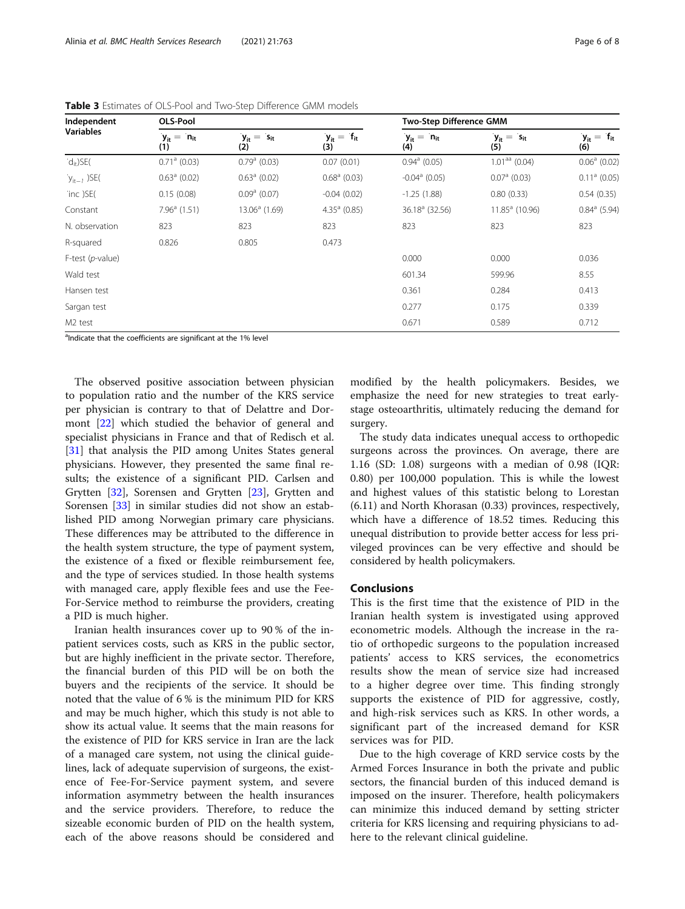| Independent         | <b>OLS-Pool</b>           |                          |                          | <b>Two-Step Difference GMM</b> |                          |                          |
|---------------------|---------------------------|--------------------------|--------------------------|--------------------------------|--------------------------|--------------------------|
| <b>Variables</b>    | $y_{it} = 'n_{it}$<br>(1) | $y_{it} = s_{it}$<br>(2) | $y_{it} = f_{it}$<br>(3) | $y_{it} = n_{it}$<br>(4)       | $y_{it} = s_{it}$<br>(5) | $y_{it} = f_{it}$<br>(6) |
| $-d_{it}$ )SE(      | $0.71a$ (0.03)            | $0.79a$ (0.03)           | 0.07(0.01)               | $0.94^a$ (0.05)                | $1.01aa$ (0.04)          | $0.06^a$ (0.02)          |
| $y_{it-1}$ )SE(     | $0.63a$ (0.02)            | $0.63a$ (0.02)           | $0.68a$ (0.03)           | $-0.04$ <sup>a</sup> (0.05)    | $0.07a$ (0.03)           | $0.11a$ (0.05)           |
| inc )SE(            | 0.15(0.08)                | $0.09a$ (0.07)           | $-0.04(0.02)$            | $-1.25(1.88)$                  | 0.80(0.33)               | 0.54(0.35)               |
| Constant            | $7.96a$ (1.51)            | $13.06a$ (1.69)          | $4.35a$ (0.85)           | $36.18a$ (32.56)               | $11.85a$ (10.96)         | $0.84^a$ (5.94)          |
| N. observation      | 823                       | 823                      | 823                      | 823                            | 823                      | 823                      |
| R-squared           | 0.826                     | 0.805                    | 0.473                    |                                |                          |                          |
| F-test $(p$ -value) |                           |                          | 0.000                    | 0.000                          | 0.036                    |                          |
| Wald test           |                           |                          |                          | 601.34                         | 599.96                   | 8.55                     |
| Hansen test         |                           |                          |                          | 0.361                          | 0.284                    | 0.413                    |
| Sargan test         |                           |                          |                          | 0.277                          | 0.175                    | 0.339                    |
| M <sub>2</sub> test |                           |                          |                          | 0.671                          | 0.589                    | 0.712                    |

<span id="page-5-0"></span>Table 3 Estimates of OLS-Pool and Two-Step Difference GMM models

<sup>a</sup>Indicate that the coefficients are significant at the 1% level

The observed positive association between physician to population ratio and the number of the KRS service per physician is contrary to that of Delattre and Dormont [[22\]](#page-6-0) which studied the behavior of general and specialist physicians in France and that of Redisch et al. [[31\]](#page-7-0) that analysis the PID among Unites States general physicians. However, they presented the same final results; the existence of a significant PID. Carlsen and Grytten [\[32](#page-7-0)], Sorensen and Grytten [[23\]](#page-6-0), Grytten and Sorensen [[33\]](#page-7-0) in similar studies did not show an established PID among Norwegian primary care physicians. These differences may be attributed to the difference in the health system structure, the type of payment system, the existence of a fixed or flexible reimbursement fee, and the type of services studied. In those health systems with managed care, apply flexible fees and use the Fee-For-Service method to reimburse the providers, creating a PID is much higher.

Iranian health insurances cover up to 90 % of the inpatient services costs, such as KRS in the public sector, but are highly inefficient in the private sector. Therefore, the financial burden of this PID will be on both the buyers and the recipients of the service. It should be noted that the value of 6 % is the minimum PID for KRS and may be much higher, which this study is not able to show its actual value. It seems that the main reasons for the existence of PID for KRS service in Iran are the lack of a managed care system, not using the clinical guidelines, lack of adequate supervision of surgeons, the existence of Fee-For-Service payment system, and severe information asymmetry between the health insurances and the service providers. Therefore, to reduce the sizeable economic burden of PID on the health system, each of the above reasons should be considered and

modified by the health policymakers. Besides, we emphasize the need for new strategies to treat earlystage osteoarthritis, ultimately reducing the demand for surgery.

The study data indicates unequal access to orthopedic surgeons across the provinces. On average, there are 1.16 (SD: 1.08) surgeons with a median of 0.98 (IQR: 0.80) per 100,000 population. This is while the lowest and highest values of this statistic belong to Lorestan (6.11) and North Khorasan (0.33) provinces, respectively, which have a difference of 18.52 times. Reducing this unequal distribution to provide better access for less privileged provinces can be very effective and should be considered by health policymakers.

# Conclusions

This is the first time that the existence of PID in the Iranian health system is investigated using approved econometric models. Although the increase in the ratio of orthopedic surgeons to the population increased patients' access to KRS services, the econometrics results show the mean of service size had increased to a higher degree over time. This finding strongly supports the existence of PID for aggressive, costly, and high-risk services such as KRS. In other words, a significant part of the increased demand for KSR services was for PID.

Due to the high coverage of KRD service costs by the Armed Forces Insurance in both the private and public sectors, the financial burden of this induced demand is imposed on the insurer. Therefore, health policymakers can minimize this induced demand by setting stricter criteria for KRS licensing and requiring physicians to adhere to the relevant clinical guideline.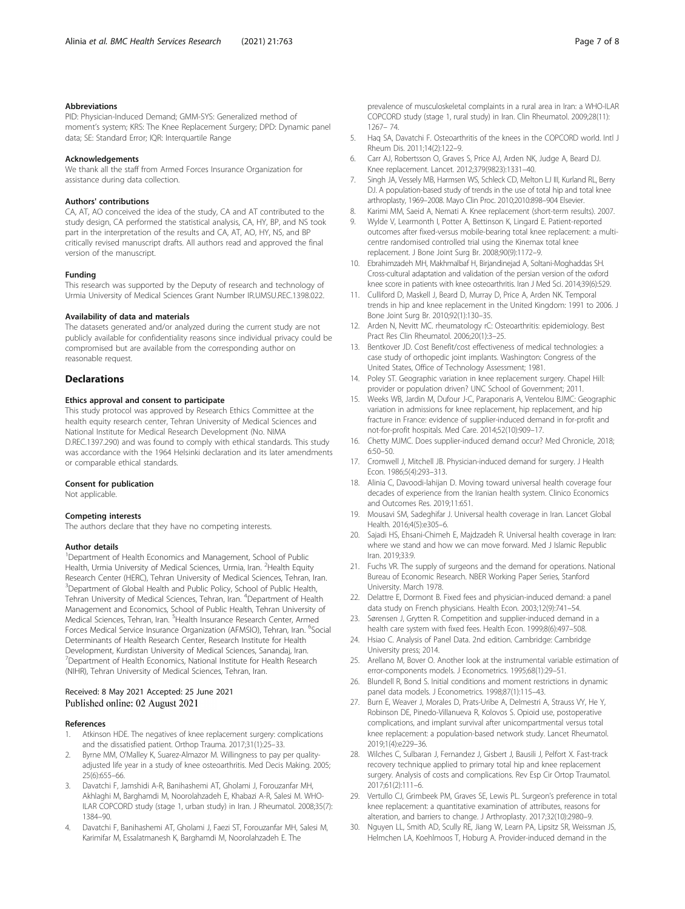#### <span id="page-6-0"></span>Abbreviations

PID: Physician-Induced Demand; GMM-SYS: Generalized method of moment's system; KRS: The Knee Replacement Surgery; DPD: Dynamic panel data; SE: Standard Error; IQR: Interquartile Range

#### Acknowledgements

We thank all the staff from Armed Forces Insurance Organization for assistance during data collection.

#### Authors' contributions

CA, AT, AO conceived the idea of the study, CA and AT contributed to the study design, CA performed the statistical analysis, CA, HY, BP, and NS took part in the interpretation of the results and CA, AT, AO, HY, NS, and BP critically revised manuscript drafts. All authors read and approved the final version of the manuscript.

#### Funding

This research was supported by the Deputy of research and technology of Urmia University of Medical Sciences Grant Number IR.UMSU.REC.1398.022.

#### Availability of data and materials

The datasets generated and/or analyzed during the current study are not publicly available for confidentiality reasons since individual privacy could be compromised but are available from the corresponding author on reasonable request.

#### **Declarations**

# Ethics approval and consent to participate

This study protocol was approved by Research Ethics Committee at the health equity research center, Tehran University of Medical Sciences and National Institute for Medical Research Development (No. NIMA D.REC.1397.290) and was found to comply with ethical standards. This study was accordance with the 1964 Helsinki declaration and its later amendments or comparable ethical standards.

#### Consent for publication

Not applicable.

#### Competing interests

The authors declare that they have no competing interests.

#### Author details

<sup>1</sup>Department of Health Economics and Management, School of Public Health, Urmia University of Medical Sciences, Urmia, Iran. <sup>2</sup> Health Equity Research Center (HERC), Tehran University of Medical Sciences, Tehran, Iran. <sup>3</sup>Department of Global Health and Public Policy, School of Public Health, Tehran University of Medical Sciences, Tehran, Iran. <sup>4</sup>Department of Health Management and Economics, School of Public Health, Tehran University of Medical Sciences, Tehran, Iran. <sup>5</sup> Health Insurance Research Center, Armed Forces Medical Service Insurance Organization (AFMSIO), Tehran, Iran. <sup>6</sup>Social Determinants of Health Research Center, Research Institute for Health Development, Kurdistan University of Medical Sciences, Sanandaj, Iran. <sup>7</sup> Department of Health Economics, National Institute for Health Research (NIHR), Tehran University of Medical Sciences, Tehran, Iran.

### Received: 8 May 2021 Accepted: 25 June 2021 Published online: 02 August 2021

#### References

- 1. Atkinson HDE. The negatives of knee replacement surgery: complications and the dissatisfied patient. Orthop Trauma. 2017;31(1):25–33.
- 2. Byrne MM, O'Malley K, Suarez-Almazor M. Willingness to pay per qualityadjusted life year in a study of knee osteoarthritis. Med Decis Making. 2005; 25(6):655–66.
- 3. Davatchi F, Jamshidi A-R, Banihashemi AT, Gholami J, Forouzanfar MH, Akhlaghi M, Barghamdi M, Noorolahzadeh E, Khabazi A-R, Salesi M. WHO-ILAR COPCORD study (stage 1, urban study) in Iran. J Rheumatol. 2008;35(7): 1384–90.
- 4. Davatchi F, Banihashemi AT, Gholami J, Faezi ST, Forouzanfar MH, Salesi M, Karimifar M, Essalatmanesh K, Barghamdi M, Noorolahzadeh E. The
- 5. Haq SA, Davatchi F. Osteoarthritis of the knees in the COPCORD world. Intl J Rheum Dis. 2011;14(2):122–9.
- 6. Carr AJ, Robertsson O, Graves S, Price AJ, Arden NK, Judge A, Beard DJ. Knee replacement. Lancet. 2012;379(9823):1331–40.
- 7. Singh JA, Vessely MB, Harmsen WS, Schleck CD, Melton LJ III, Kurland RL, Berry DJ. A population-based study of trends in the use of total hip and total knee arthroplasty, 1969–2008. Mayo Clin Proc. 2010;2010:898–904 Elsevier.
- 8. Karimi MM, Saeid A, Nemati A. Knee replacement (short-term results). 2007.
- 9. Wylde V, Learmonth I, Potter A, Bettinson K, Lingard E. Patient-reported outcomes after fixed-versus mobile-bearing total knee replacement: a multicentre randomised controlled trial using the Kinemax total knee replacement. J Bone Joint Surg Br. 2008;90(9):1172–9.
- 10. Ebrahimzadeh MH, Makhmalbaf H, Birjandinejad A, Soltani-Moghaddas SH. Cross-cultural adaptation and validation of the persian version of the oxford knee score in patients with knee osteoarthritis. Iran J Med Sci. 2014;39(6):529.
- 11. Culliford D, Maskell J, Beard D, Murray D, Price A, Arden NK. Temporal trends in hip and knee replacement in the United Kingdom: 1991 to 2006. J Bone Joint Surg Br. 2010;92(1):130–35.
- 12. Arden N, Nevitt MC. rheumatology rC: Osteoarthritis: epidemiology. Best Pract Res Clin Rheumatol. 2006;20(1):3–25.
- 13. Bentkover JD. Cost Benefit/cost effectiveness of medical technologies: a case study of orthopedic joint implants. Washington: Congress of the United States, Office of Technology Assessment; 1981.
- 14. Poley ST. Geographic variation in knee replacement surgery. Chapel Hill: provider or population driven? UNC School of Government; 2011.
- 15. Weeks WB, Jardin M, Dufour J-C, Paraponaris A, Ventelou BJMC: Geographic variation in admissions for knee replacement, hip replacement, and hip fracture in France: evidence of supplier-induced demand in for-profit and not-for-profit hospitals. Med Care. 2014;52(10):909–17.
- 16. Chetty MJMC. Does supplier-induced demand occur? Med Chronicle, 2018; 6:50–50.
- 17. Cromwell J, Mitchell JB. Physician-induced demand for surgery. J Health Econ. 1986;5(4):293–313.
- 18. Alinia C, Davoodi-lahijan D. Moving toward universal health coverage four decades of experience from the Iranian health system. Clinico Economics and Outcomes Res. 2019;11:651.
- 19. Mousavi SM, Sadeghifar J. Universal health coverage in Iran. Lancet Global Health. 2016;4(5):e305–6.
- 20. Sajadi HS, Ehsani-Chimeh E, Majdzadeh R. Universal health coverage in Iran: where we stand and how we can move forward. Med J Islamic Republic Iran. 2019;33:9.
- 21. Fuchs VR. The supply of surgeons and the demand for operations. National Bureau of Economic Research. NBER Working Paper Series, Stanford University. March 1978.
- 22. Delattre E, Dormont B. Fixed fees and physician-induced demand: a panel data study on French physicians. Health Econ. 2003;12(9):741–54.
- 23. Sørensen J, Grytten R. Competition and supplier-induced demand in a health care system with fixed fees. Health Econ. 1999;8(6):497–508.
- 24. Hsiao C. Analysis of Panel Data. 2nd edition. Cambridge: Cambridge University press; 2014.
- Arellano M, Bover O. Another look at the instrumental variable estimation of error-components models. J Econometrics. 1995;68(1):29–51.
- 26. Blundell R, Bond S. Initial conditions and moment restrictions in dynamic panel data models. J Econometrics. 1998;87(1):115–43.
- 27. Burn E, Weaver J, Morales D, Prats-Uribe A, Delmestri A, Strauss VY, He Y, Robinson DE, Pinedo-Villanueva R, Kolovos S. Opioid use, postoperative complications, and implant survival after unicompartmental versus total knee replacement: a population-based network study. Lancet Rheumatol. 2019;1(4):e229–36.
- 28. Wilches C, Sulbaran J, Fernandez J, Gisbert J, Bausili J, Pelfort X. Fast-track recovery technique applied to primary total hip and knee replacement surgery. Analysis of costs and complications. Rev Esp Cir Ortop Traumatol. 2017;61(2):111–6.
- 29. Vertullo CJ, Grimbeek PM, Graves SE, Lewis PL. Surgeon's preference in total knee replacement: a quantitative examination of attributes, reasons for alteration, and barriers to change. J Arthroplasty. 2017;32(10):2980–9.
- 30. Nguyen LL, Smith AD, Scully RE, Jiang W, Learn PA, Lipsitz SR, Weissman JS, Helmchen LA, Koehlmoos T, Hoburg A. Provider-induced demand in the